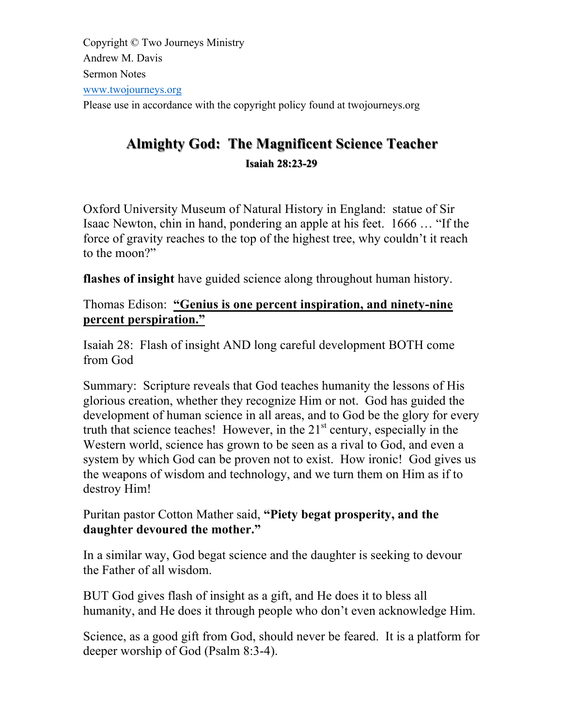Copyright © Two Journeys Ministry Andrew M. Davis Sermon Notes www.twojourneys.org Please use in accordance with the copyright policy found at twojourneys.org

# **Almighty God: The Magnificent Science Teacher Almighty God: The Magnificent Science Teacher Isaiah 28:23 28:23-29**

Oxford University Museum of Natural History in England: statue of Sir Isaac Newton, chin in hand, pondering an apple at his feet. 1666 … "If the force of gravity reaches to the top of the highest tree, why couldn't it reach to the moon?"

**flashes of insight** have guided science along throughout human history.

# Thomas Edison: **"Genius is one percent inspiration, and ninety-nine percent perspiration."**

Isaiah 28: Flash of insight AND long careful development BOTH come from God

Summary: Scripture reveals that God teaches humanity the lessons of His glorious creation, whether they recognize Him or not. God has guided the development of human science in all areas, and to God be the glory for every truth that science teaches! However, in the  $21<sup>st</sup>$  century, especially in the Western world, science has grown to be seen as a rival to God, and even a system by which God can be proven not to exist. How ironic! God gives us the weapons of wisdom and technology, and we turn them on Him as if to destroy Him!

Puritan pastor Cotton Mather said, **"Piety begat prosperity, and the daughter devoured the mother."** 

In a similar way, God begat science and the daughter is seeking to devour the Father of all wisdom.

BUT God gives flash of insight as a gift, and He does it to bless all humanity, and He does it through people who don't even acknowledge Him.

Science, as a good gift from God, should never be feared. It is a platform for deeper worship of God (Psalm 8:3-4).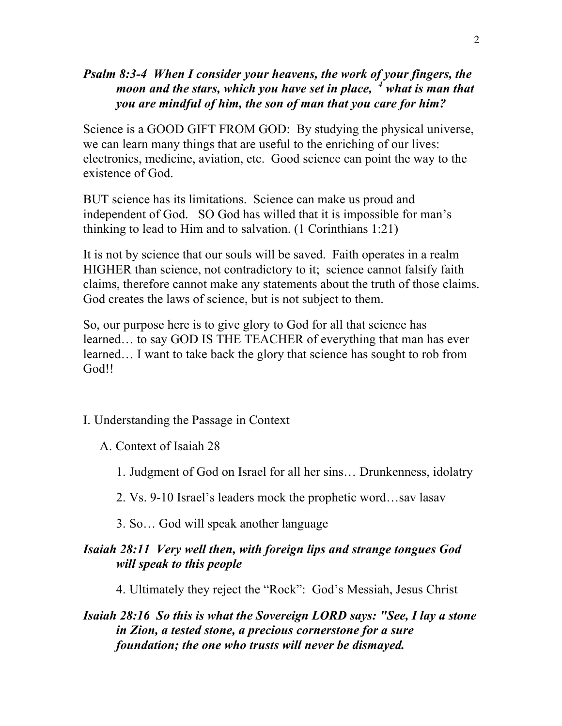# *Psalm 8:3-4 When I consider your heavens, the work of your fingers, the moon and the stars, which you have set in place, <sup>4</sup> what is man that you are mindful of him, the son of man that you care for him?*

Science is a GOOD GIFT FROM GOD: By studying the physical universe, we can learn many things that are useful to the enriching of our lives: electronics, medicine, aviation, etc. Good science can point the way to the existence of God.

BUT science has its limitations. Science can make us proud and independent of God. SO God has willed that it is impossible for man's thinking to lead to Him and to salvation. (1 Corinthians 1:21)

It is not by science that our souls will be saved. Faith operates in a realm HIGHER than science, not contradictory to it; science cannot falsify faith claims, therefore cannot make any statements about the truth of those claims. God creates the laws of science, but is not subject to them.

So, our purpose here is to give glory to God for all that science has learned… to say GOD IS THE TEACHER of everything that man has ever learned… I want to take back the glory that science has sought to rob from God!!

- I. Understanding the Passage in Context
	- A. Context of Isaiah 28
		- 1. Judgment of God on Israel for all her sins… Drunkenness, idolatry
		- 2. Vs. 9-10 Israel's leaders mock the prophetic word…sav lasav
		- 3. So… God will speak another language

### *Isaiah 28:11 Very well then, with foreign lips and strange tongues God will speak to this people*

4. Ultimately they reject the "Rock": God's Messiah, Jesus Christ

### *Isaiah 28:16 So this is what the Sovereign LORD says: "See, I lay a stone in Zion, a tested stone, a precious cornerstone for a sure foundation; the one who trusts will never be dismayed.*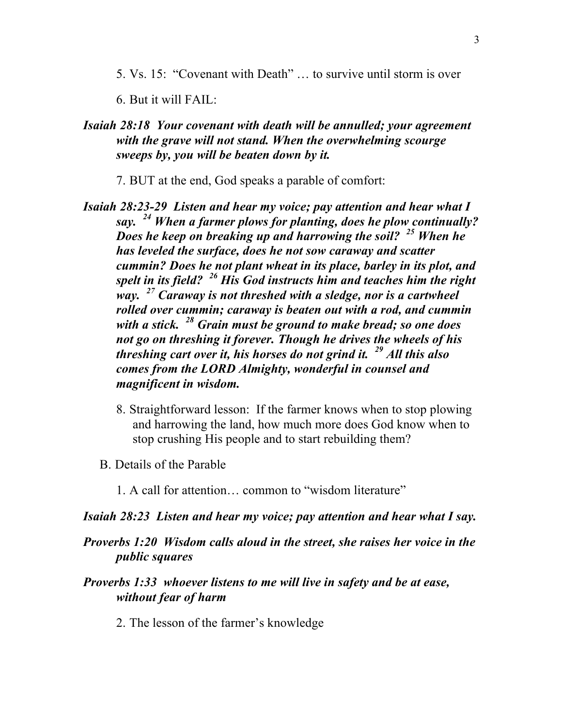5. Vs. 15: "Covenant with Death" … to survive until storm is over

6. But it will FAIL:

- *Isaiah 28:18 Your covenant with death will be annulled; your agreement with the grave will not stand. When the overwhelming scourge sweeps by, you will be beaten down by it.*
	- 7. BUT at the end, God speaks a parable of comfort:
- *Isaiah 28:23-29 Listen and hear my voice; pay attention and hear what I say. <sup>24</sup> When a farmer plows for planting, does he plow continually? Does he keep on breaking up and harrowing the soil? <sup>25</sup> When he has leveled the surface, does he not sow caraway and scatter cummin? Does he not plant wheat in its place, barley in its plot, and spelt in its field? <sup>26</sup> His God instructs him and teaches him the right way. <sup>27</sup> Caraway is not threshed with a sledge, nor is a cartwheel rolled over cummin; caraway is beaten out with a rod, and cummin with a stick. <sup>28</sup> Grain must be ground to make bread; so one does not go on threshing it forever. Though he drives the wheels of his threshing cart over it, his horses do not grind it. <sup>29</sup> All this also comes from the LORD Almighty, wonderful in counsel and magnificent in wisdom.*
	- 8. Straightforward lesson: If the farmer knows when to stop plowing and harrowing the land, how much more does God know when to stop crushing His people and to start rebuilding them?
	- B. Details of the Parable
		- 1. A call for attention… common to "wisdom literature"
- *Isaiah 28:23 Listen and hear my voice; pay attention and hear what I say.*
- *Proverbs 1:20 Wisdom calls aloud in the street, she raises her voice in the public squares*
- *Proverbs 1:33 whoever listens to me will live in safety and be at ease, without fear of harm*
	- 2. The lesson of the farmer's knowledge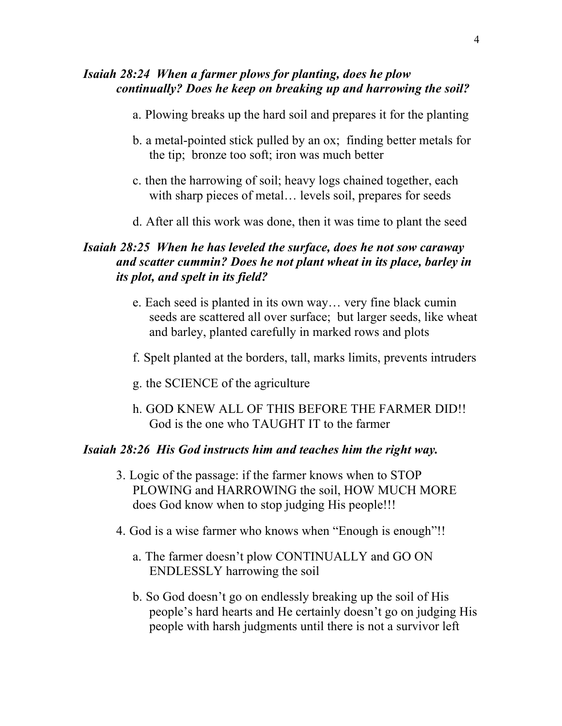## *Isaiah 28:24 When a farmer plows for planting, does he plow continually? Does he keep on breaking up and harrowing the soil?*

- a. Plowing breaks up the hard soil and prepares it for the planting
- b. a metal-pointed stick pulled by an ox; finding better metals for the tip; bronze too soft; iron was much better
- c. then the harrowing of soil; heavy logs chained together, each with sharp pieces of metal… levels soil, prepares for seeds
- d. After all this work was done, then it was time to plant the seed

### *Isaiah 28:25 When he has leveled the surface, does he not sow caraway and scatter cummin? Does he not plant wheat in its place, barley in its plot, and spelt in its field?*

- e. Each seed is planted in its own way… very fine black cumin seeds are scattered all over surface; but larger seeds, like wheat and barley, planted carefully in marked rows and plots
- f. Spelt planted at the borders, tall, marks limits, prevents intruders
- g. the SCIENCE of the agriculture
- h. GOD KNEW ALL OF THIS BEFORE THE FARMER DID!! God is the one who TAUGHT IT to the farmer

#### *Isaiah 28:26 His God instructs him and teaches him the right way.*

- 3. Logic of the passage: if the farmer knows when to STOP PLOWING and HARROWING the soil, HOW MUCH MORE does God know when to stop judging His people!!!
- 4. God is a wise farmer who knows when "Enough is enough"!!
	- a. The farmer doesn't plow CONTINUALLY and GO ON ENDLESSLY harrowing the soil
	- b. So God doesn't go on endlessly breaking up the soil of His people's hard hearts and He certainly doesn't go on judging His people with harsh judgments until there is not a survivor left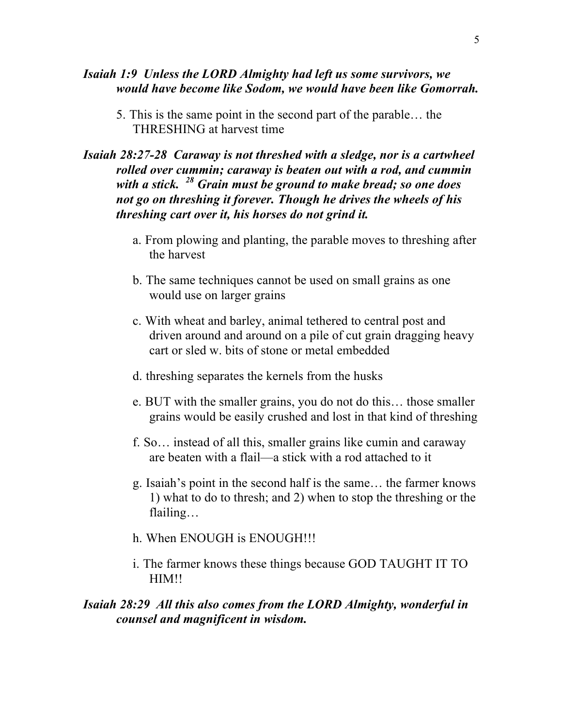#### *Isaiah 1:9 Unless the LORD Almighty had left us some survivors, we would have become like Sodom, we would have been like Gomorrah.*

5. This is the same point in the second part of the parable… the THRESHING at harvest time

# *Isaiah 28:27-28 Caraway is not threshed with a sledge, nor is a cartwheel rolled over cummin; caraway is beaten out with a rod, and cummin with a stick. <sup>28</sup> Grain must be ground to make bread; so one does not go on threshing it forever. Though he drives the wheels of his threshing cart over it, his horses do not grind it.*

- a. From plowing and planting, the parable moves to threshing after the harvest
- b. The same techniques cannot be used on small grains as one would use on larger grains
- c. With wheat and barley, animal tethered to central post and driven around and around on a pile of cut grain dragging heavy cart or sled w. bits of stone or metal embedded
- d. threshing separates the kernels from the husks
- e. BUT with the smaller grains, you do not do this… those smaller grains would be easily crushed and lost in that kind of threshing
- f. So… instead of all this, smaller grains like cumin and caraway are beaten with a flail—a stick with a rod attached to it
- g. Isaiah's point in the second half is the same… the farmer knows 1) what to do to thresh; and 2) when to stop the threshing or the flailing…
- h. When ENOUGH is ENOUGH!!!
- i. The farmer knows these things because GOD TAUGHT IT TO HIM!!

### *Isaiah 28:29 All this also comes from the LORD Almighty, wonderful in counsel and magnificent in wisdom.*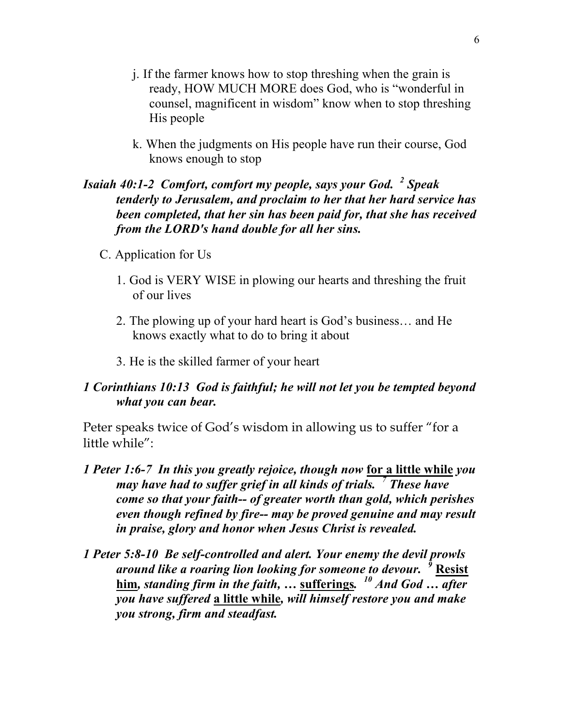- j. If the farmer knows how to stop threshing when the grain is ready, HOW MUCH MORE does God, who is "wonderful in counsel, magnificent in wisdom" know when to stop threshing His people
- k. When the judgments on His people have run their course, God knows enough to stop

# *Isaiah 40:1-2 Comfort, comfort my people, says your God. <sup>2</sup> Speak tenderly to Jerusalem, and proclaim to her that her hard service has been completed, that her sin has been paid for, that she has received from the LORD's hand double for all her sins.*

- C. Application for Us
	- 1. God is VERY WISE in plowing our hearts and threshing the fruit of our lives
	- 2. The plowing up of your hard heart is God's business… and He knows exactly what to do to bring it about
	- 3. He is the skilled farmer of your heart

#### *1 Corinthians 10:13 God is faithful; he will not let you be tempted beyond what you can bear.*

Peter speaks twice of God's wisdom in allowing us to suffer "for a little while":

- *1 Peter 1:6-7 In this you greatly rejoice, though now* **for a little while** *you may have had to suffer grief in all kinds of trials. <sup>7</sup> These have come so that your faith-- of greater worth than gold, which perishes even though refined by fire-- may be proved genuine and may result in praise, glory and honor when Jesus Christ is revealed.*
- *1 Peter 5:8-10 Be self-controlled and alert. Your enemy the devil prowls around like a roaring lion looking for someone to devour. <sup>9</sup>* **Resist him***, standing firm in the faith, …* **sufferings***. <sup>10</sup> And God … after you have suffered* **a little while***, will himself restore you and make you strong, firm and steadfast.*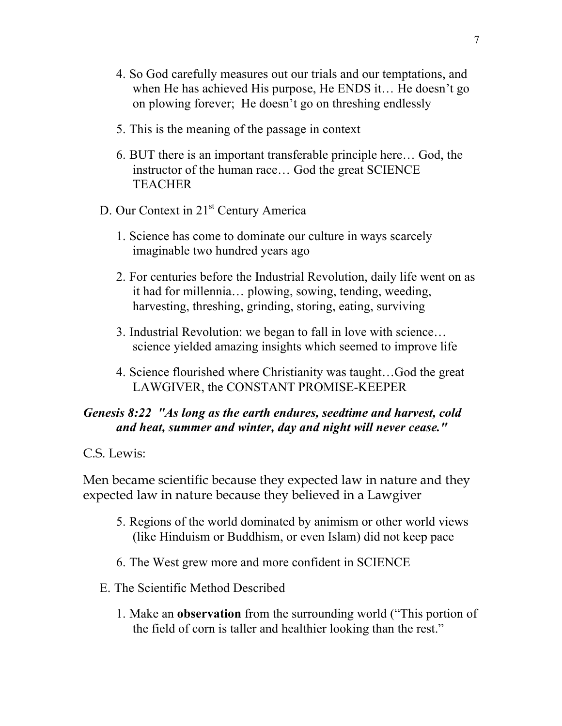- 4. So God carefully measures out our trials and our temptations, and when He has achieved His purpose, He ENDS it… He doesn't go on plowing forever; He doesn't go on threshing endlessly
- 5. This is the meaning of the passage in context
- 6. BUT there is an important transferable principle here… God, the instructor of the human race… God the great SCIENCE **TEACHER**
- D. Our Context in 21<sup>st</sup> Century America
	- 1. Science has come to dominate our culture in ways scarcely imaginable two hundred years ago
	- 2. For centuries before the Industrial Revolution, daily life went on as it had for millennia… plowing, sowing, tending, weeding, harvesting, threshing, grinding, storing, eating, surviving
	- 3. Industrial Revolution: we began to fall in love with science… science yielded amazing insights which seemed to improve life
	- 4. Science flourished where Christianity was taught…God the great LAWGIVER, the CONSTANT PROMISE-KEEPER

# *Genesis 8:22 "As long as the earth endures, seedtime and harvest, cold and heat, summer and winter, day and night will never cease."*

C.S. Lewis:

Men became scientific because they expected law in nature and they expected law in nature because they believed in a Lawgiver

- 5. Regions of the world dominated by animism or other world views (like Hinduism or Buddhism, or even Islam) did not keep pace
- 6. The West grew more and more confident in SCIENCE
- E. The Scientific Method Described
	- 1. Make an **observation** from the surrounding world ("This portion of the field of corn is taller and healthier looking than the rest."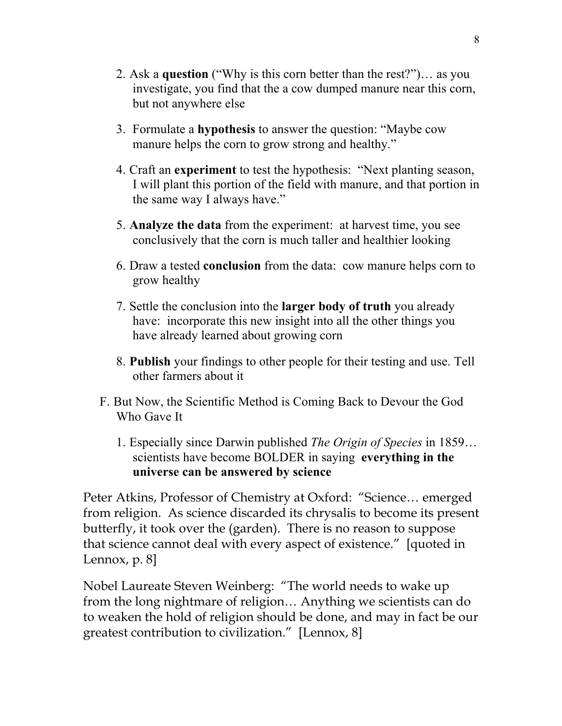- 2. Ask a **question** ("Why is this corn better than the rest?")… as you investigate, you find that the a cow dumped manure near this corn, but not anywhere else
- 3. Formulate a **hypothesis** to answer the question: "Maybe cow manure helps the corn to grow strong and healthy."
- 4. Craft an **experiment** to test the hypothesis: "Next planting season, I will plant this portion of the field with manure, and that portion in the same way I always have."
- 5. **Analyze the data** from the experiment: at harvest time, you see conclusively that the corn is much taller and healthier looking
- 6. Draw a tested **conclusion** from the data: cow manure helps corn to grow healthy
- 7. Settle the conclusion into the **larger body of truth** you already have: incorporate this new insight into all the other things you have already learned about growing corn
- 8. **Publish** your findings to other people for their testing and use. Tell other farmers about it
- F. But Now, the Scientific Method is Coming Back to Devour the God Who Gave It
	- 1. Especially since Darwin published *The Origin of Species* in 1859… scientists have become BOLDER in saying **everything in the universe can be answered by science**

Peter Atkins, Professor of Chemistry at Oxford: "Science… emerged from religion. As science discarded its chrysalis to become its present butterfly, it took over the (garden). There is no reason to suppose that science cannot deal with every aspect of existence." [quoted in Lennox, p. 8]

Nobel Laureate Steven Weinberg: "The world needs to wake up from the long nightmare of religion… Anything we scientists can do to weaken the hold of religion should be done, and may in fact be our greatest contribution to civilization." [Lennox, 8]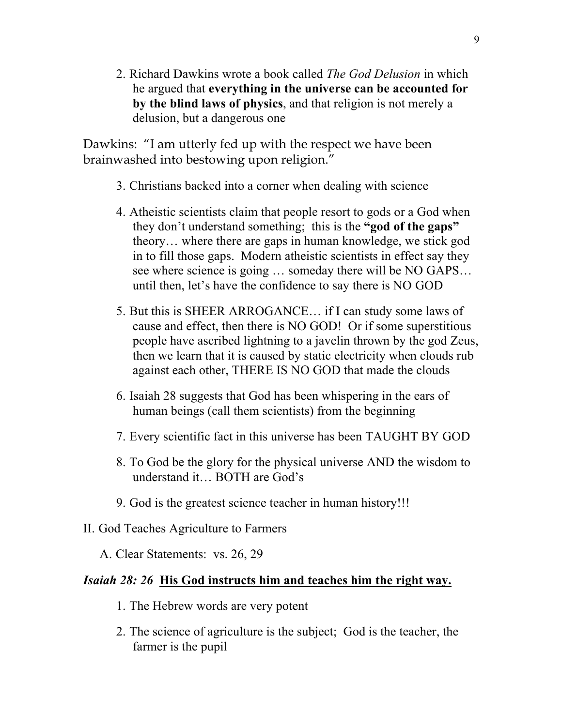2. Richard Dawkins wrote a book called *The God Delusion* in which he argued that **everything in the universe can be accounted for by the blind laws of physics**, and that religion is not merely a delusion, but a dangerous one

Dawkins: "I am utterly fed up with the respect we have been brainwashed into bestowing upon religion."

- 3. Christians backed into a corner when dealing with science
- 4. Atheistic scientists claim that people resort to gods or a God when they don't understand something; this is the **"god of the gaps"** theory… where there are gaps in human knowledge, we stick god in to fill those gaps. Modern atheistic scientists in effect say they see where science is going ... someday there will be NO GAPS... until then, let's have the confidence to say there is NO GOD
- 5. But this is SHEER ARROGANCE… if I can study some laws of cause and effect, then there is NO GOD! Or if some superstitious people have ascribed lightning to a javelin thrown by the god Zeus, then we learn that it is caused by static electricity when clouds rub against each other, THERE IS NO GOD that made the clouds
- 6. Isaiah 28 suggests that God has been whispering in the ears of human beings (call them scientists) from the beginning
- 7. Every scientific fact in this universe has been TAUGHT BY GOD
- 8. To God be the glory for the physical universe AND the wisdom to understand it… BOTH are God's
- 9. God is the greatest science teacher in human history!!!
- II. God Teaches Agriculture to Farmers
	- A. Clear Statements: vs. 26, 29

# *Isaiah 28: 26* **His God instructs him and teaches him the right way.**

- 1. The Hebrew words are very potent
- 2. The science of agriculture is the subject; God is the teacher, the farmer is the pupil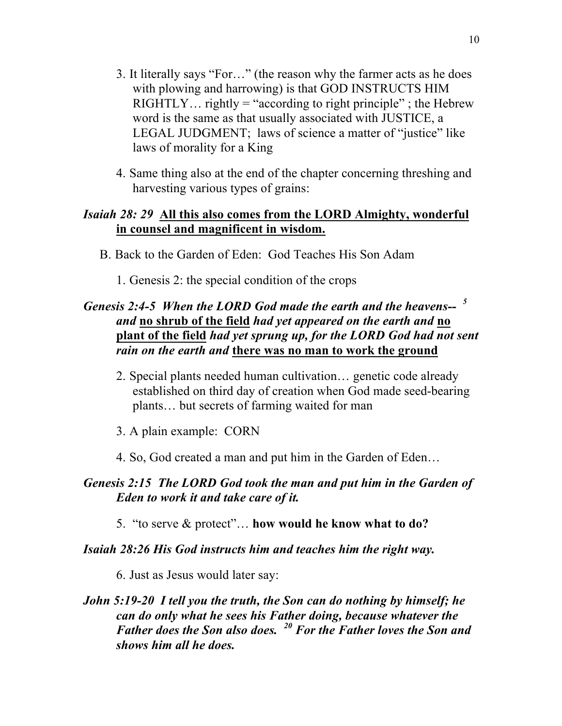- 3. It literally says "For…" (the reason why the farmer acts as he does with plowing and harrowing) is that GOD INSTRUCTS HIM RIGHTLY... rightly = "according to right principle"; the Hebrew word is the same as that usually associated with JUSTICE, a LEGAL JUDGMENT; laws of science a matter of "justice" like laws of morality for a King
- 4. Same thing also at the end of the chapter concerning threshing and harvesting various types of grains:

#### *Isaiah 28: 29* **All this also comes from the LORD Almighty, wonderful in counsel and magnificent in wisdom.**

- B. Back to the Garden of Eden: God Teaches His Son Adam
	- 1. Genesis 2: the special condition of the crops

# *Genesis 2:4-5 When the LORD God made the earth and the heavens-- <sup>5</sup> and* **no shrub of the field** *had yet appeared on the earth and* **no plant of the field** *had yet sprung up, for the LORD God had not sent rain on the earth and* **there was no man to work the ground**

- 2. Special plants needed human cultivation… genetic code already established on third day of creation when God made seed-bearing plants… but secrets of farming waited for man
- 3. A plain example: CORN
- 4. So, God created a man and put him in the Garden of Eden…

#### *Genesis 2:15 The LORD God took the man and put him in the Garden of Eden to work it and take care of it.*

5. "to serve & protect"… **how would he know what to do?** 

#### *Isaiah 28:26 His God instructs him and teaches him the right way.*

6. Just as Jesus would later say:

### *John 5:19-20 I tell you the truth, the Son can do nothing by himself; he can do only what he sees his Father doing, because whatever the Father does the Son also does. <sup>20</sup> For the Father loves the Son and shows him all he does.*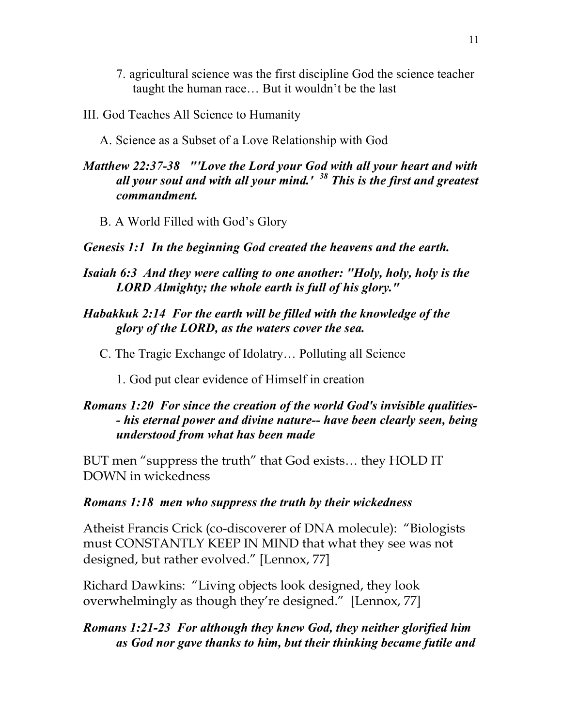- 7. agricultural science was the first discipline God the science teacher taught the human race… But it wouldn't be the last
- III. God Teaches All Science to Humanity
	- A. Science as a Subset of a Love Relationship with God

# *Matthew 22:37-38 "'Love the Lord your God with all your heart and with all your soul and with all your mind.' <sup>38</sup> This is the first and greatest commandment.*

B. A World Filled with God's Glory

#### *Genesis 1:1 In the beginning God created the heavens and the earth.*

- *Isaiah 6:3 And they were calling to one another: "Holy, holy, holy is the LORD Almighty; the whole earth is full of his glory."*
- *Habakkuk 2:14 For the earth will be filled with the knowledge of the glory of the LORD, as the waters cover the sea.*
	- C. The Tragic Exchange of Idolatry… Polluting all Science
		- 1. God put clear evidence of Himself in creation

# *Romans 1:20 For since the creation of the world God's invisible qualities- - his eternal power and divine nature-- have been clearly seen, being understood from what has been made*

BUT men "suppress the truth" that God exists… they HOLD IT DOWN in wickedness

#### *Romans 1:18 men who suppress the truth by their wickedness*

Atheist Francis Crick (co-discoverer of DNA molecule): "Biologists must CONSTANTLY KEEP IN MIND that what they see was not designed, but rather evolved." [Lennox, 77]

Richard Dawkins: "Living objects look designed, they look overwhelmingly as though they're designed." [Lennox, 77]

# *Romans 1:21-23 For although they knew God, they neither glorified him as God nor gave thanks to him, but their thinking became futile and*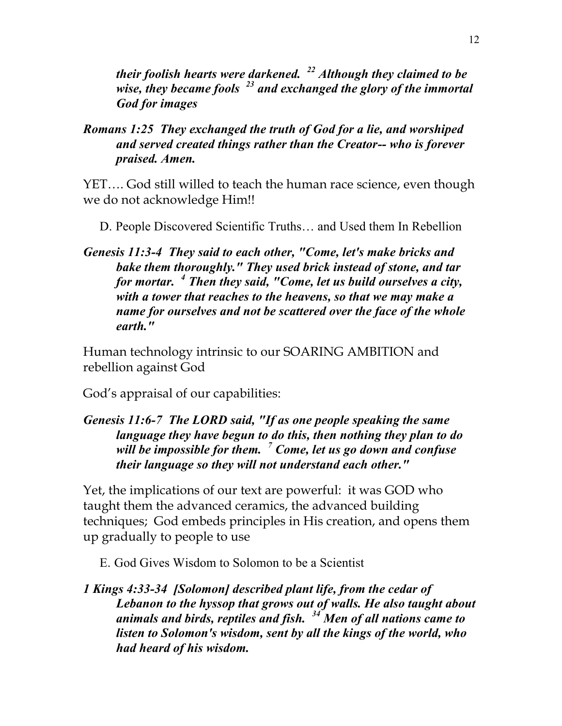*their foolish hearts were darkened. <sup>22</sup> Although they claimed to be wise, they became fools <sup>23</sup> and exchanged the glory of the immortal God for images*

*Romans 1:25 They exchanged the truth of God for a lie, and worshiped and served created things rather than the Creator-- who is forever praised. Amen.*

YET…. God still willed to teach the human race science, even though we do not acknowledge Him!!

D. People Discovered Scientific Truths… and Used them In Rebellion

*Genesis 11:3-4 They said to each other, "Come, let's make bricks and bake them thoroughly." They used brick instead of stone, and tar for mortar. <sup>4</sup> Then they said, "Come, let us build ourselves a city, with a tower that reaches to the heavens, so that we may make a name for ourselves and not be scattered over the face of the whole earth."*

Human technology intrinsic to our SOARING AMBITION and rebellion against God

God's appraisal of our capabilities:

# *Genesis 11:6-7 The LORD said, "If as one people speaking the same language they have begun to do this, then nothing they plan to do will be impossible for them. <sup>7</sup> Come, let us go down and confuse their language so they will not understand each other."*

Yet, the implications of our text are powerful: it was GOD who taught them the advanced ceramics, the advanced building techniques; God embeds principles in His creation, and opens them up gradually to people to use

E. God Gives Wisdom to Solomon to be a Scientist

*1 Kings 4:33-34 [Solomon] described plant life, from the cedar of Lebanon to the hyssop that grows out of walls. He also taught about animals and birds, reptiles and fish. <sup>34</sup> Men of all nations came to listen to Solomon's wisdom, sent by all the kings of the world, who had heard of his wisdom.*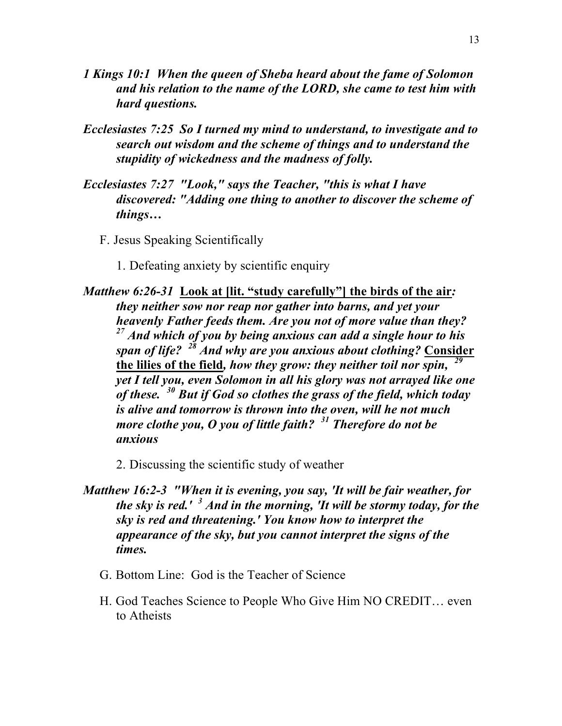- *1 Kings 10:1 When the queen of Sheba heard about the fame of Solomon and his relation to the name of the LORD, she came to test him with hard questions.*
- *Ecclesiastes 7:25 So I turned my mind to understand, to investigate and to search out wisdom and the scheme of things and to understand the stupidity of wickedness and the madness of folly.*
- *Ecclesiastes 7:27 "Look," says the Teacher, "this is what I have discovered: "Adding one thing to another to discover the scheme of things…*
	- F. Jesus Speaking Scientifically
		- 1. Defeating anxiety by scientific enquiry
- *Matthew 6:26-31* **Look at [lit. "study carefully"] the birds of the air***: they neither sow nor reap nor gather into barns, and yet your heavenly Father feeds them. Are you not of more value than they? <sup>27</sup> And which of you by being anxious can add a single hour to his span of life? <sup>28</sup> And why are you anxious about clothing?* **Consider the lilies of the field***, how they grow: they neither toil nor spin, <sup>29</sup> yet I tell you, even Solomon in all his glory was not arrayed like one of these. <sup>30</sup> But if God so clothes the grass of the field, which today is alive and tomorrow is thrown into the oven, will he not much more clothe you, O you of little faith? <sup>31</sup> Therefore do not be anxious*
	- 2. Discussing the scientific study of weather
- *Matthew 16:2-3 "When it is evening, you say, 'It will be fair weather, for the sky is red.' <sup>3</sup> And in the morning, 'It will be stormy today, for the sky is red and threatening.' You know how to interpret the appearance of the sky, but you cannot interpret the signs of the times.*
	- G. Bottom Line: God is the Teacher of Science
	- H. God Teaches Science to People Who Give Him NO CREDIT… even to Atheists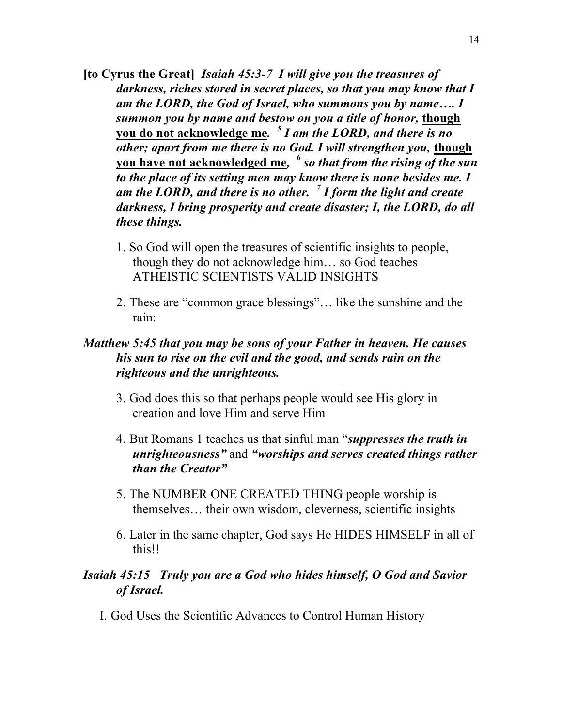- **[to Cyrus the Great]** *Isaiah 45:3-7 I will give you the treasures of darkness, riches stored in secret places, so that you may know that I am the LORD, the God of Israel, who summons you by name…. I summon you by name and bestow on you a title of honor,* **though you do not acknowledge me***. <sup>5</sup> I am the LORD, and there is no other; apart from me there is no God. I will strengthen you,* **though you have not acknowledged me***, <sup>6</sup> so that from the rising of the sun to the place of its setting men may know there is none besides me. I am the LORD, and there is no other. <sup>7</sup> I form the light and create darkness, I bring prosperity and create disaster; I, the LORD, do all these things.*
	- 1. So God will open the treasures of scientific insights to people, though they do not acknowledge him… so God teaches ATHEISTIC SCIENTISTS VALID INSIGHTS
	- 2. These are "common grace blessings"… like the sunshine and the rain:

# *Matthew 5:45 that you may be sons of your Father in heaven. He causes his sun to rise on the evil and the good, and sends rain on the righteous and the unrighteous.*

- 3. God does this so that perhaps people would see His glory in creation and love Him and serve Him
- 4. But Romans 1 teaches us that sinful man "*suppresses the truth in unrighteousness"* and *"worships and serves created things rather than the Creator"*
- 5. The NUMBER ONE CREATED THING people worship is themselves… their own wisdom, cleverness, scientific insights
- 6. Later in the same chapter, God says He HIDES HIMSELF in all of this!!

### *Isaiah 45:15 Truly you are a God who hides himself, O God and Savior of Israel.*

I. God Uses the Scientific Advances to Control Human History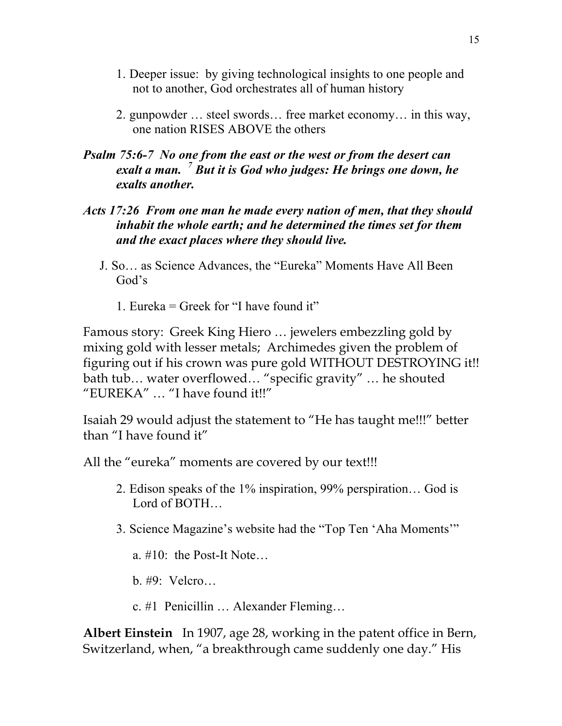- 1. Deeper issue: by giving technological insights to one people and not to another, God orchestrates all of human history
- 2. gunpowder … steel swords… free market economy… in this way, one nation RISES ABOVE the others
- *Psalm 75:6-7 No one from the east or the west or from the desert can exalt a man. <sup>7</sup> But it is God who judges: He brings one down, he exalts another.*
- *Acts 17:26 From one man he made every nation of men, that they should inhabit the whole earth; and he determined the times set for them and the exact places where they should live.*
	- J. So… as Science Advances, the "Eureka" Moments Have All Been God's
		- 1. Eureka  $=$  Greek for "I have found it"

Famous story: Greek King Hiero … jewelers embezzling gold by mixing gold with lesser metals; Archimedes given the problem of figuring out if his crown was pure gold WITHOUT DESTROYING it!! bath tub… water overflowed… "specific gravity" … he shouted "EUREKA" … "I have found it!!"

Isaiah 29 would adjust the statement to "He has taught me!!!" better than "I have found it"

All the "eureka" moments are covered by our text!!!

- 2. Edison speaks of the 1% inspiration, 99% perspiration… God is Lord of BOTH…
- 3. Science Magazine's website had the "Top Ten 'Aha Moments'"

a. #10: the Post-It Note…

- b. #9: Velcro…
- c. #1 Penicillin … Alexander Fleming…

**Albert Einstein** In 1907, age 28, working in the patent office in Bern, Switzerland, when, "a breakthrough came suddenly one day." His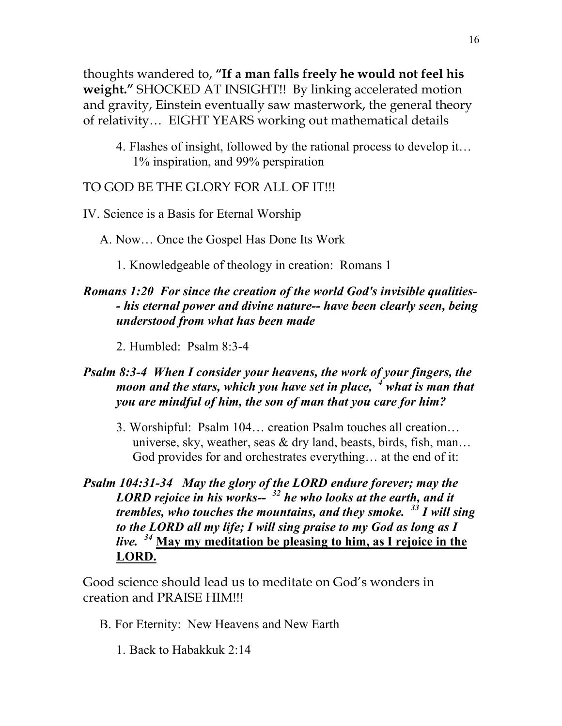thoughts wandered to, **"If a man falls freely he would not feel his weight."** SHOCKED AT INSIGHT!! By linking accelerated motion and gravity, Einstein eventually saw masterwork, the general theory of relativity… EIGHT YEARS working out mathematical details

4. Flashes of insight, followed by the rational process to develop it… 1% inspiration, and 99% perspiration

### TO GOD BE THE GLORY FOR ALL OF IT!!!

- IV. Science is a Basis for Eternal Worship
	- A. Now… Once the Gospel Has Done Its Work
		- 1. Knowledgeable of theology in creation: Romans 1

# *Romans 1:20 For since the creation of the world God's invisible qualities- - his eternal power and divine nature-- have been clearly seen, being understood from what has been made*

2. Humbled: Psalm 8:3-4

# *Psalm 8:3-4 When I consider your heavens, the work of your fingers, the moon and the stars, which you have set in place, <sup>4</sup> what is man that you are mindful of him, the son of man that you care for him?*

- 3. Worshipful: Psalm 104… creation Psalm touches all creation… universe, sky, weather, seas  $\&$  dry land, beasts, birds, fish, man... God provides for and orchestrates everything… at the end of it:
- *Psalm 104:31-34 May the glory of the LORD endure forever; may the LORD rejoice in his works-- <sup>32</sup> he who looks at the earth, and it trembles, who touches the mountains, and they smoke. <sup>33</sup> I will sing to the LORD all my life; I will sing praise to my God as long as I live. <sup>34</sup>* **May my meditation be pleasing to him, as I rejoice in the LORD.**

Good science should lead us to meditate on God's wonders in creation and PRAISE HIM!!!

- B. For Eternity: New Heavens and New Earth
	- 1. Back to Habakkuk 2:14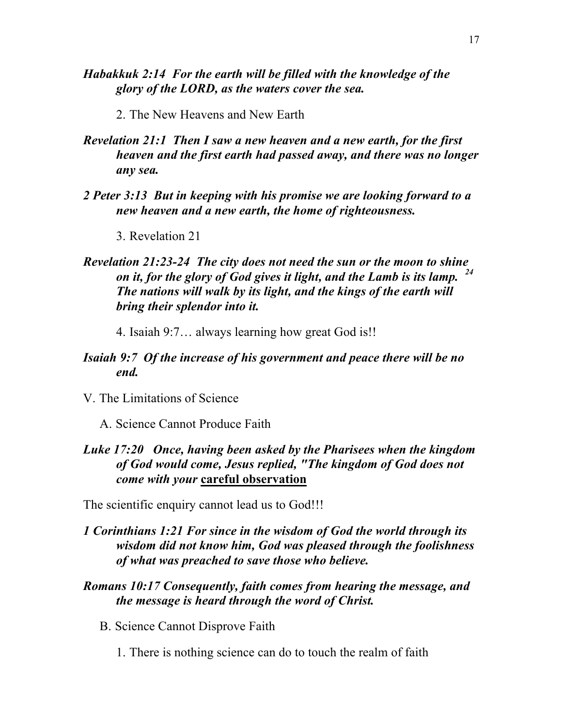- *Habakkuk 2:14 For the earth will be filled with the knowledge of the glory of the LORD, as the waters cover the sea.*
	- 2. The New Heavens and New Earth
- *Revelation 21:1 Then I saw a new heaven and a new earth, for the first heaven and the first earth had passed away, and there was no longer any sea.*
- *2 Peter 3:13 But in keeping with his promise we are looking forward to a new heaven and a new earth, the home of righteousness.*
	- 3. Revelation 21

### *Revelation 21:23-24 The city does not need the sun or the moon to shine on it, for the glory of God gives it light, and the Lamb is its lamp. <sup>24</sup> The nations will walk by its light, and the kings of the earth will bring their splendor into it.*

4. Isaiah 9:7… always learning how great God is!!

#### *Isaiah 9:7 Of the increase of his government and peace there will be no end.*

V. The Limitations of Science

A. Science Cannot Produce Faith

### *Luke 17:20 Once, having been asked by the Pharisees when the kingdom of God would come, Jesus replied, "The kingdom of God does not come with your* **careful observation**

The scientific enquiry cannot lead us to God!!!

#### *1 Corinthians 1:21 For since in the wisdom of God the world through its wisdom did not know him, God was pleased through the foolishness of what was preached to save those who believe.*

- *Romans 10:17 Consequently, faith comes from hearing the message, and the message is heard through the word of Christ.*
	- B. Science Cannot Disprove Faith
		- 1. There is nothing science can do to touch the realm of faith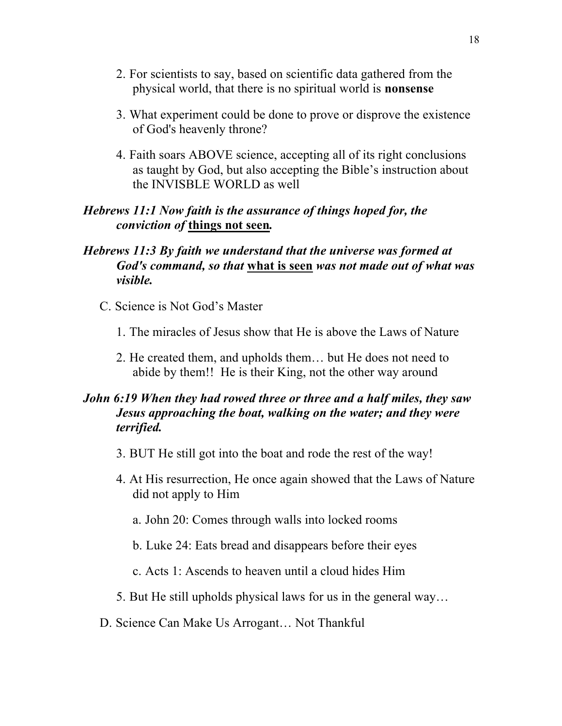- 2. For scientists to say, based on scientific data gathered from the physical world, that there is no spiritual world is **nonsense**
- 3. What experiment could be done to prove or disprove the existence of God's heavenly throne?
- 4. Faith soars ABOVE science, accepting all of its right conclusions as taught by God, but also accepting the Bible's instruction about the INVISBLE WORLD as well

#### *Hebrews 11:1 Now faith is the assurance of things hoped for, the conviction of* **things not seen***.*

### *Hebrews 11:3 By faith we understand that the universe was formed at God's command, so that* **what is seen** *was not made out of what was visible.*

- C. Science is Not God's Master
	- 1. The miracles of Jesus show that He is above the Laws of Nature
	- 2. He created them, and upholds them… but He does not need to abide by them!! He is their King, not the other way around

# *John 6:19 When they had rowed three or three and a half miles, they saw Jesus approaching the boat, walking on the water; and they were terrified.*

- 3. BUT He still got into the boat and rode the rest of the way!
- 4. At His resurrection, He once again showed that the Laws of Nature did not apply to Him
	- a. John 20: Comes through walls into locked rooms
	- b. Luke 24: Eats bread and disappears before their eyes
	- c. Acts 1: Ascends to heaven until a cloud hides Him
- 5. But He still upholds physical laws for us in the general way…
- D. Science Can Make Us Arrogant… Not Thankful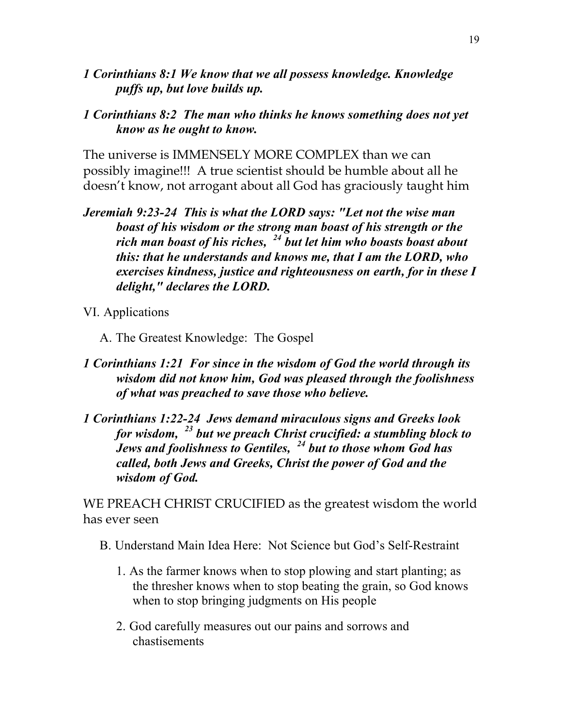*1 Corinthians 8:1 We know that we all possess knowledge. Knowledge puffs up, but love builds up.*

#### *1 Corinthians 8:2 The man who thinks he knows something does not yet know as he ought to know.*

The universe is IMMENSELY MORE COMPLEX than we can possibly imagine!!! A true scientist should be humble about all he doesn't know, not arrogant about all God has graciously taught him

- *Jeremiah 9:23-24 This is what the LORD says: "Let not the wise man boast of his wisdom or the strong man boast of his strength or the rich man boast of his riches, <sup>24</sup> but let him who boasts boast about this: that he understands and knows me, that I am the LORD, who exercises kindness, justice and righteousness on earth, for in these I delight," declares the LORD.*
- VI. Applications
	- A. The Greatest Knowledge: The Gospel
- *1 Corinthians 1:21 For since in the wisdom of God the world through its wisdom did not know him, God was pleased through the foolishness of what was preached to save those who believe.*
- *1 Corinthians 1:22-24 Jews demand miraculous signs and Greeks look for wisdom, <sup>23</sup> but we preach Christ crucified: a stumbling block to Jews and foolishness to Gentiles, <sup>24</sup> but to those whom God has called, both Jews and Greeks, Christ the power of God and the wisdom of God.*

WE PREACH CHRIST CRUCIFIED as the greatest wisdom the world has ever seen

- B. Understand Main Idea Here: Not Science but God's Self-Restraint
	- 1. As the farmer knows when to stop plowing and start planting; as the thresher knows when to stop beating the grain, so God knows when to stop bringing judgments on His people
	- 2. God carefully measures out our pains and sorrows and chastisements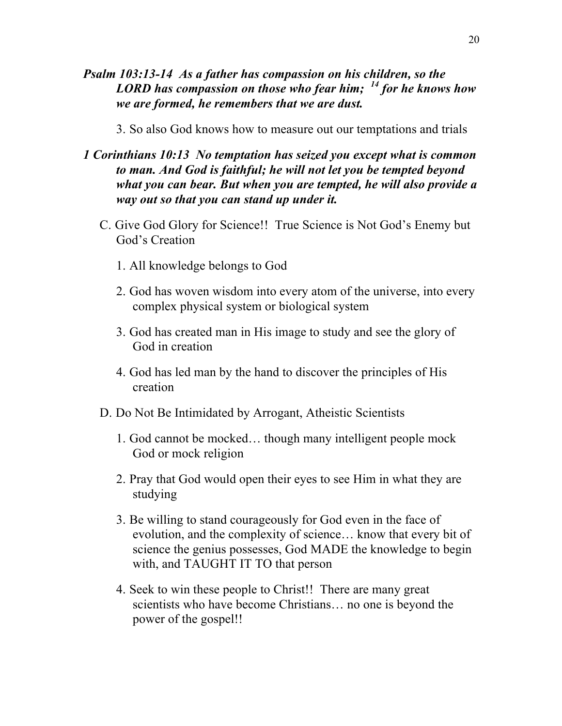- *Psalm 103:13-14 As a father has compassion on his children, so the LORD has compassion on those who fear him; <sup>14</sup> for he knows how we are formed, he remembers that we are dust.*
	- 3. So also God knows how to measure out our temptations and trials
- *1 Corinthians 10:13 No temptation has seized you except what is common to man. And God is faithful; he will not let you be tempted beyond what you can bear. But when you are tempted, he will also provide a way out so that you can stand up under it.*
	- C. Give God Glory for Science!! True Science is Not God's Enemy but God's Creation
		- 1. All knowledge belongs to God
		- 2. God has woven wisdom into every atom of the universe, into every complex physical system or biological system
		- 3. God has created man in His image to study and see the glory of God in creation
		- 4. God has led man by the hand to discover the principles of His creation
	- D. Do Not Be Intimidated by Arrogant, Atheistic Scientists
		- 1. God cannot be mocked… though many intelligent people mock God or mock religion
		- 2. Pray that God would open their eyes to see Him in what they are studying
		- 3. Be willing to stand courageously for God even in the face of evolution, and the complexity of science… know that every bit of science the genius possesses, God MADE the knowledge to begin with, and TAUGHT IT TO that person
		- 4. Seek to win these people to Christ!! There are many great scientists who have become Christians… no one is beyond the power of the gospel!!